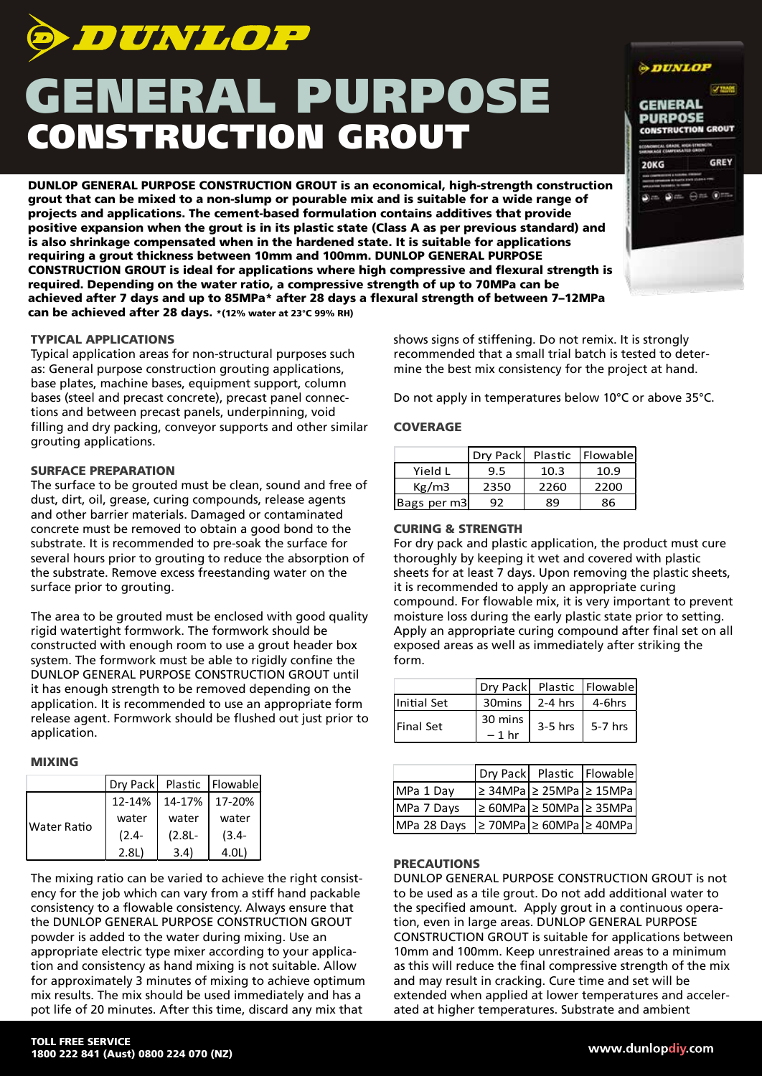

# GENERAL PURPOSE CONSTRUCTION GROUT

DUNLOP GENERAL PURPOSE CONSTRUCTION GROUT is an economical, high-strength construction grout that can be mixed to a non-slump or pourable mix and is suitable for a wide range of projects and applications. The cement-based formulation contains additives that provide positive expansion when the grout is in its plastic state (Class A as per previous standard) and is also shrinkage compensated when in the hardened state. It is suitable for applications requiring a grout thickness between 10mm and 100mm. DUNLOP GENERAL PURPOSE CONSTRUCTION GROUT is ideal for applications where high compressive and flexural strength is required. Depending on the water ratio, a compressive strength of up to 70MPa can be achieved after 7 days and up to 85MPa\* after 28 days a flexural strength of between 7–12MPa can be achieved after 28 days. \*(12% water at 23°C 99% RH)

## TYPICAL APPLICATIONS

Typical application areas for non-structural purposes such as: General purpose construction grouting applications, base plates, machine bases, equipment support, column bases (steel and precast concrete), precast panel connections and between precast panels, underpinning, void filling and dry packing, conveyor supports and other similar grouting applications.

#### SURFACE PREPARATION

The surface to be grouted must be clean, sound and free of dust, dirt, oil, grease, curing compounds, release agents and other barrier materials. Damaged or contaminated concrete must be removed to obtain a good bond to the substrate. It is recommended to pre-soak the surface for several hours prior to grouting to reduce the absorption of the substrate. Remove excess freestanding water on the surface prior to grouting.

The area to be grouted must be enclosed with good quality rigid watertight formwork. The formwork should be constructed with enough room to use a grout header box system. The formwork must be able to rigidly confine the DUNLOP GENERAL PURPOSE CONSTRUCTION GROUT until it has enough strength to be removed depending on the application. It is recommended to use an appropriate form release agent. Formwork should be flushed out just prior to application.

## MIXING

|                    |          |           | Dry Pack Plastic Flowable |
|--------------------|----------|-----------|---------------------------|
| <b>Water Ratio</b> | 12-14%   |           | 14-17% 17-20%             |
|                    | water    | water     | water                     |
|                    | $(2.4 -$ | $(2.8L -$ | $(3.4 -$                  |
|                    | 2.8L)    | 3.4)      | 4.0L)                     |

The mixing ratio can be varied to achieve the right consistency for the job which can vary from a stiff hand packable consistency to a flowable consistency. Always ensure that the DUNLOP GENERAL PURPOSE CONSTRUCTION GROUT powder is added to the water during mixing. Use an appropriate electric type mixer according to your application and consistency as hand mixing is not suitable. Allow for approximately 3 minutes of mixing to achieve optimum mix results. The mix should be used immediately and has a pot life of 20 minutes. After this time, discard any mix that

shows signs of stiffening. Do not remix. It is strongly recommended that a small trial batch is tested to determine the best mix consistency for the project at hand.

Do not apply in temperatures below 10°C or above 35°C.

### **COVERAGE**

|             | Dry Pack |      | Plastic Flowable |
|-------------|----------|------|------------------|
| Yield L     | 9.5      | 10.3 | 10.9             |
| Kg/m3       | 2350     | 2260 | 2200             |
| Bags per m3 | 92       | Ŗ٩   | 86               |

# CURING & STRENGTH

For dry pack and plastic application, the product must cure thoroughly by keeping it wet and covered with plastic sheets for at least 7 days. Upon removing the plastic sheets, it is recommended to apply an appropriate curing compound. For flowable mix, it is very important to prevent moisture loss during the early plastic state prior to setting. Apply an appropriate curing compound after final set on all exposed areas as well as immediately after striking the form.

|                   | Dry Pack Plastic Flowable |                                     |                     |
|-------------------|---------------------------|-------------------------------------|---------------------|
| Initial Set       |                           | $30 \text{mins}$   2-4 hrs   4-6hrs |                     |
| <b>IFinal Set</b> | 30 mins                   |                                     | $3-5$ hrs   5-7 hrs |
|                   | $-1$ hr                   |                                     |                     |

|             | Dry Pack Plastic Flowable                 |  |
|-------------|-------------------------------------------|--|
| MPa 1 Day   | $ $ ≥ 34MPa $ $ ≥ 25MPa $ $ ≥ 15MPa       |  |
| MPa 7 Days  | $\geq 60$ MPa $\geq 50$ MPa $\geq 35$ MPa |  |
| MPa 28 Days | $ $ > 70MPa $ $ > 60MPa $ $ > 40MPa       |  |

#### PRECAUTIONS

DUNLOP GENERAL PURPOSE CONSTRUCTION GROUT is not to be used as a tile grout. Do not add additional water to the specified amount. Apply grout in a continuous operation, even in large areas. DUNLOP GENERAL PURPOSE CONSTRUCTION GROUT is suitable for applications between 10mm and 100mm. Keep unrestrained areas to a minimum as this will reduce the final compressive strength of the mix and may result in cracking. Cure time and set will be extended when applied at lower temperatures and accelerated at higher temperatures. Substrate and ambient

| <i><b>DUNLOP</b></i>                                            |                                |
|-----------------------------------------------------------------|--------------------------------|
|                                                                 | $\sqrt{1000}$                  |
| <b>GENERAL</b>                                                  |                                |
| <b>PURPOSE</b>                                                  |                                |
|                                                                 | <b>CONSTRUCTION GROUT</b>      |
| LCONOMICAL GRADE, HIGH-1792 MG/M<br>NATIONAGE COMPENSATED GROUT |                                |
| <b>20KG</b>                                                     | <b>GREY</b>                    |
|                                                                 | A di BARTA FINIS L'IABILI FINI |
| <b>ARRISTMENT PRODUCTS</b>                                      |                                |
|                                                                 | லெக இடை <del>கொட</del> ுமாக    |